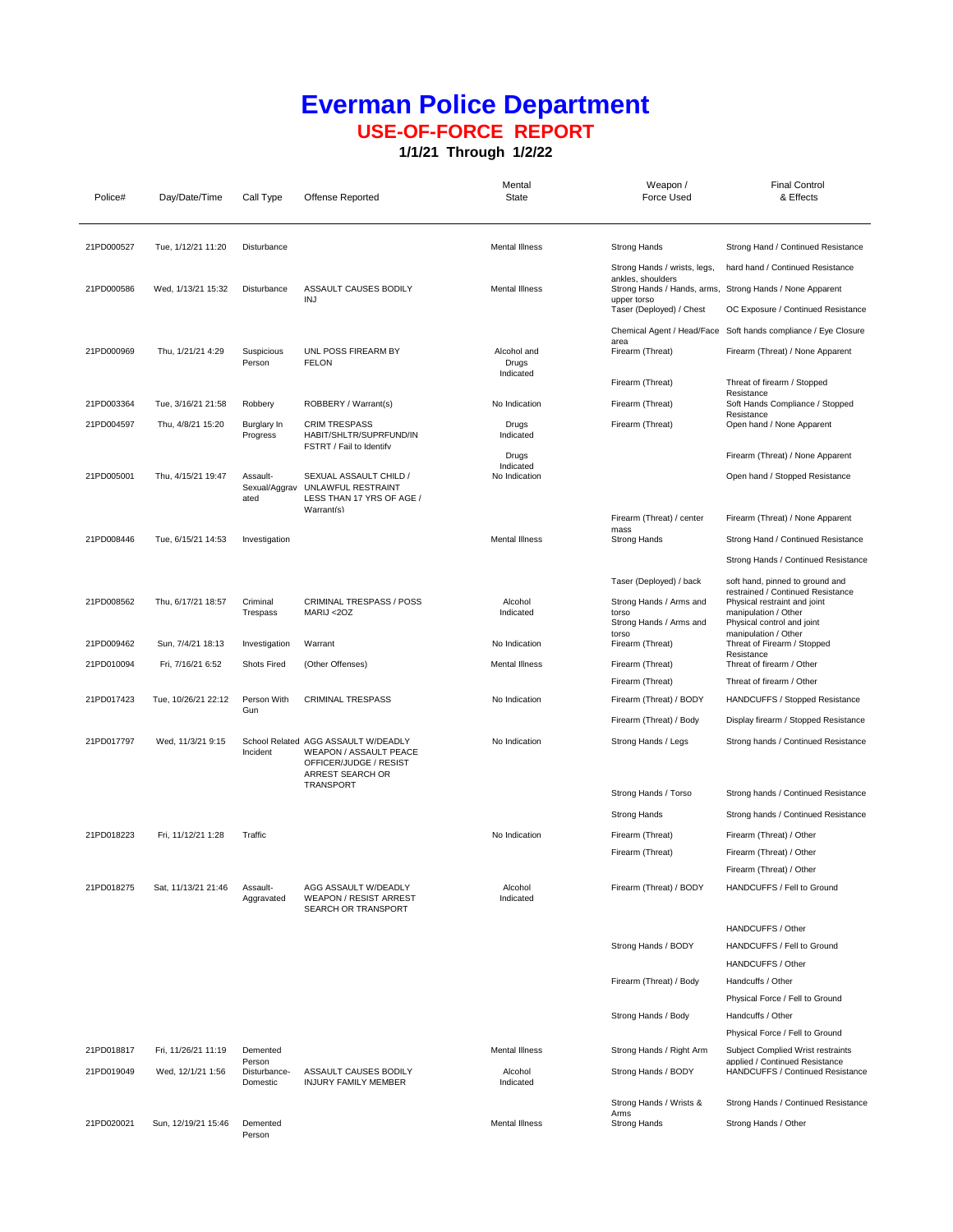## **Everman Police Department USE-OF-FORCE REPORT**

**1/1/21 Through 1/2/22**

| Police#    | Day/Date/Time       | Call Type                          | Offense Reported                                                                                                         | Mental<br>State                   | Weapon /<br>Force Used                                               | <b>Final Control</b><br>& Effects                                                                          |
|------------|---------------------|------------------------------------|--------------------------------------------------------------------------------------------------------------------------|-----------------------------------|----------------------------------------------------------------------|------------------------------------------------------------------------------------------------------------|
| 21PD000527 | Tue, 1/12/21 11:20  | Disturbance                        |                                                                                                                          | <b>Mental Illness</b>             | <b>Strong Hands</b>                                                  | Strong Hand / Continued Resistance                                                                         |
|            |                     |                                    |                                                                                                                          |                                   | Strong Hands / wrists, legs,<br>ankles, shoulders                    | hard hand / Continued Resistance                                                                           |
| 21PD000586 | Wed, 1/13/21 15:32  | Disturbance                        | ASSAULT CAUSES BODILY                                                                                                    | <b>Mental Illness</b>             |                                                                      | Strong Hands / Hands, arms, Strong Hands / None Apparent                                                   |
|            |                     |                                    | INJ                                                                                                                      |                                   | upper torso<br>Taser (Deployed) / Chest                              | OC Exposure / Continued Resistance                                                                         |
|            |                     |                                    |                                                                                                                          |                                   |                                                                      | Chemical Agent / Head/Face Soft hands compliance / Eye Closure                                             |
| 21PD000969 | Thu, 1/21/21 4:29   | Suspicious<br>Person               | UNL POSS FIREARM BY<br><b>FELON</b>                                                                                      | Alcohol and<br>Drugs<br>Indicated | area<br>Firearm (Threat)                                             | Firearm (Threat) / None Apparent                                                                           |
|            |                     |                                    |                                                                                                                          |                                   | Firearm (Threat)                                                     | Threat of firearm / Stopped<br>Resistance                                                                  |
| 21PD003364 | Tue, 3/16/21 21:58  | Robbery                            | ROBBERY / Warrant(s)                                                                                                     | No Indication                     | Firearm (Threat)                                                     | Soft Hands Compliance / Stopped<br>Resistance                                                              |
| 21PD004597 | Thu, 4/8/21 15:20   | Burglary In<br>Progress            | <b>CRIM TRESPASS</b><br>HABIT/SHLTR/SUPRFUND/IN<br>FSTRT / Fail to Identify                                              | Drugs<br>Indicated                | Firearm (Threat)                                                     | Open hand / None Apparent                                                                                  |
|            |                     |                                    |                                                                                                                          | Drugs<br>Indicated                |                                                                      | Firearm (Threat) / None Apparent                                                                           |
| 21PD005001 | Thu, 4/15/21 19:47  | Assault-<br>Sexual/Aggrav<br>ated  | SEXUAL ASSAULT CHILD /<br>UNLAWFUL RESTRAINT<br>LESS THAN 17 YRS OF AGE /<br>Warrant(s)                                  | No Indication                     |                                                                      | Open hand / Stopped Resistance                                                                             |
|            |                     |                                    |                                                                                                                          |                                   | Firearm (Threat) / center<br>mass                                    | Firearm (Threat) / None Apparent                                                                           |
| 21PD008446 | Tue, 6/15/21 14:53  | Investigation                      |                                                                                                                          | <b>Mental Illness</b>             | <b>Strong Hands</b>                                                  | Strong Hand / Continued Resistance                                                                         |
|            |                     |                                    |                                                                                                                          |                                   |                                                                      | Strong Hands / Continued Resistance                                                                        |
|            |                     |                                    |                                                                                                                          |                                   | Taser (Deployed) / back                                              | soft hand, pinned to ground and<br>restrained / Continued Resistance                                       |
| 21PD008562 | Thu, 6/17/21 18:57  | Criminal<br>Trespass               | <b>CRIMINAL TRESPASS / POSS</b><br>MARIJ <20Z                                                                            | Alcohol<br>Indicated              | Strong Hands / Arms and<br>torso<br>Strong Hands / Arms and<br>torso | Physical restraint and joint<br>manipulation / Other<br>Physical control and joint<br>manipulation / Other |
| 21PD009462 | Sun, 7/4/21 18:13   | Investigation                      | Warrant                                                                                                                  | No Indication                     | Firearm (Threat)                                                     | Threat of Firearm / Stopped                                                                                |
| 21PD010094 | Fri, 7/16/21 6:52   | <b>Shots Fired</b>                 | (Other Offenses)                                                                                                         | Mental Illness                    | Firearm (Threat)                                                     | Resistance<br>Threat of firearm / Other                                                                    |
|            |                     |                                    |                                                                                                                          |                                   | Firearm (Threat)                                                     | Threat of firearm / Other                                                                                  |
| 21PD017423 | Tue, 10/26/21 22:12 | Person With<br>Gun                 | <b>CRIMINAL TRESPASS</b>                                                                                                 | No Indication                     | Firearm (Threat) / BODY                                              | HANDCUFFS / Stopped Resistance                                                                             |
|            |                     |                                    |                                                                                                                          |                                   | Firearm (Threat) / Body                                              | Display firearm / Stopped Resistance                                                                       |
| 21PD017797 | Wed, 11/3/21 9:15   | Incident                           | School Related AGG ASSAULT W/DEADLY<br>WEAPON / ASSAULT PEACE<br>OFFICER/JUDGE / RESIST<br>ARREST SEARCH OR<br>TRANSPORT | No Indication                     | Strong Hands / Legs                                                  | Strong hands / Continued Resistance                                                                        |
|            |                     |                                    |                                                                                                                          |                                   | Strong Hands / Torso                                                 | Strong hands / Continued Resistance                                                                        |
|            |                     |                                    |                                                                                                                          |                                   | <b>Strong Hands</b>                                                  | Strong hands / Continued Resistance                                                                        |
| 21PD018223 | Fri, 11/12/21 1:28  | Traffic                            |                                                                                                                          | No Indication                     | Firearm (Threat)                                                     | Firearm (Threat) / Other                                                                                   |
|            |                     |                                    |                                                                                                                          |                                   | Firearm (Threat)                                                     | Firearm (Threat) / Other                                                                                   |
| 21PD018275 | Sat, 11/13/21 21:46 | Assault-<br>Aggravated             | AGG ASSAULT W/DEADLY<br><b>WEAPON / RESIST ARREST</b><br>SEARCH OR TRANSPORT                                             | Alcohol<br>Indicated              | Firearm (Threat) / BODY                                              | Firearm (Threat) / Other<br>HANDCUFFS / Fell to Ground                                                     |
|            |                     |                                    |                                                                                                                          |                                   |                                                                      | HANDCUFFS / Other                                                                                          |
|            |                     |                                    |                                                                                                                          |                                   | Strong Hands / BODY                                                  | HANDCUFFS / Fell to Ground                                                                                 |
|            |                     |                                    |                                                                                                                          |                                   | Firearm (Threat) / Body                                              | HANDCUFFS / Other<br>Handcuffs / Other                                                                     |
|            |                     |                                    |                                                                                                                          |                                   |                                                                      | Physical Force / Fell to Ground                                                                            |
|            |                     |                                    |                                                                                                                          |                                   | Strong Hands / Body                                                  | Handcuffs / Other                                                                                          |
|            |                     |                                    |                                                                                                                          |                                   |                                                                      | Physical Force / Fell to Ground                                                                            |
| 21PD018817 | Fri, 11/26/21 11:19 | Demented                           |                                                                                                                          | <b>Mental Illness</b>             | Strong Hands / Right Arm                                             | Subject Complied Wrist restraints                                                                          |
| 21PD019049 | Wed, 12/1/21 1:56   | Person<br>Disturbance-<br>Domestic | ASSAULT CAUSES BODILY<br>INJURY FAMILY MEMBER                                                                            | Alcohol<br>Indicated              | Strong Hands / BODY                                                  | applied / Continued Resistance<br>HANDCUFFS / Continued Resistance                                         |
|            |                     |                                    |                                                                                                                          |                                   | Strong Hands / Wrists &<br>Arms                                      | Strong Hands / Continued Resistance                                                                        |
| 21PD020021 | Sun, 12/19/21 15:46 | Demented<br>Person                 |                                                                                                                          | Mental Illness                    | Strong Hands                                                         | Strong Hands / Other                                                                                       |